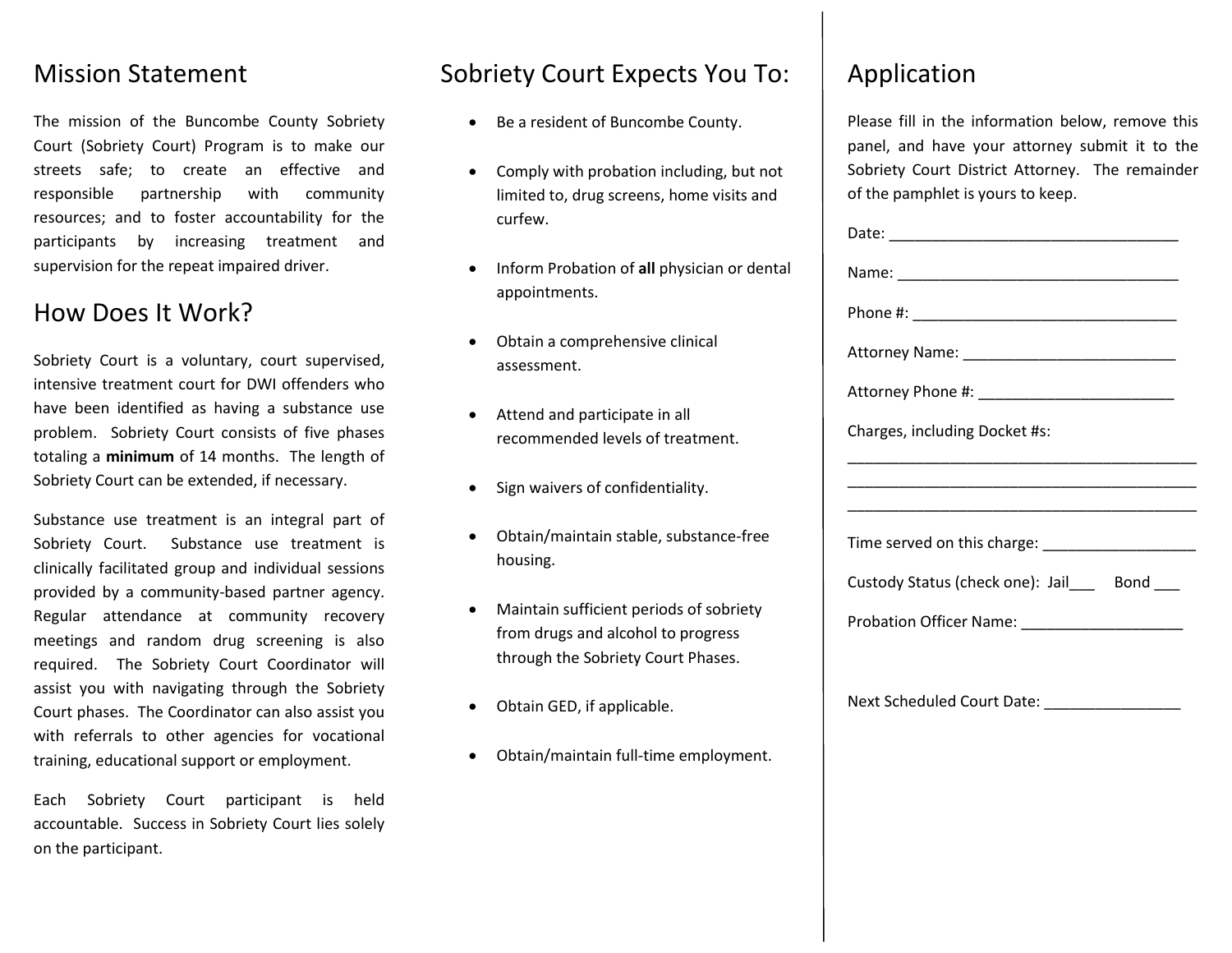#### Mission Statement

The mission of the Buncombe County Sobriety Court (Sobriety Court) Program is to make our streets safe; to create an effective and responsible partnership with community resources; and to foster accountability for the participants by increasing treatment and supervision for the repeat impaired driver.

## How Does It Work?

Sobriety Court is a voluntary, court supervised, intensive treatment court for DWI offenders who have been identified as having a substance use problem. Sobriety Court consists of five phases totaling a **minimum** of 14 months. The length of Sobriety Court can be extended, if necessary.

Substance use treatment is an integral part of Sobriety Court. Substance use treatment is clinically facilitated group and individual sessions provided by a community-based partner agency. Regular attendance at community recovery meetings and random drug screening is also required. The Sobriety Court Coordinator will assist you with navigating through the Sobriety Court phases. The Coordinator can also assist you with referrals to other agencies for vocational training, educational support or employment.

Each Sobriety Court participant is held accountable. Success in Sobriety Court lies solely on the participant.

### Sobriety Court Expects You To:

- Be a resident of Buncombe County.
- Comply with probation including, but not limited to, drug screens, home visits and curfew.
- Inform Probation of **all** physician or dental appointments.
- Obtain a comprehensive clinical assessment.
- Attend and participate in all recommended levels of treatment.
- Sign waivers of confidentiality.
- Obtain/maintain stable, substance-free housing.
- Maintain sufficient periods of sobriety from drugs and alcohol to progress through the Sobriety Court Phases.
- Obtain GED, if applicable.
- Obtain/maintain full-time employment.

## Application

Please fill in the information below, remove this panel, and have your attorney submit it to the Sobriety Court District Attorney. The remainder of the pamphlet is yours to keep.

| Charges, including Docket #s:                  |
|------------------------------------------------|
|                                                |
|                                                |
|                                                |
| Custody Status (check one): Jail___ Bond ___   |
| Probation Officer Name: ______________________ |
|                                                |
| Next Scheduled Court Date: __________________  |
|                                                |
|                                                |